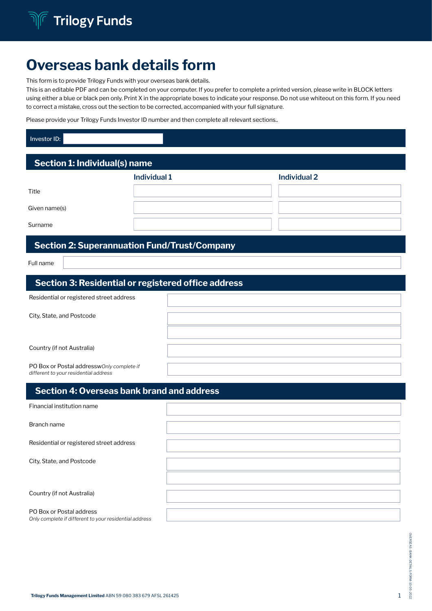## Overseas bank details form

This form is to provide Trilogy Funds with your overseas bank details.

This is an editable PDF and can be completed on your computer. If you prefer to complete a printed version, please write in BLOCK letters using either a blue or black pen only. Print X in the appropriate boxes to indicate your response. Do not use whiteout on this form. If you need to correct a mistake, cross out the section to be corrected, accompanied with your full signature.

Please provide your Trilogy Funds Investor ID number and then complete all relevant sections..

| Investor ID:                                                                       |              |                     |  |  |
|------------------------------------------------------------------------------------|--------------|---------------------|--|--|
| Section 1: Individual(s) name                                                      |              |                     |  |  |
|                                                                                    | Individual 1 | <b>Individual 2</b> |  |  |
| Title                                                                              |              |                     |  |  |
| Given name(s)                                                                      |              |                     |  |  |
| Surname                                                                            |              |                     |  |  |
| <b>Section 2: Superannuation Fund/Trust/Company</b>                                |              |                     |  |  |
| Full name                                                                          |              |                     |  |  |
| Section 3: Residential or registered office address                                |              |                     |  |  |
| Residential or registered street address                                           |              |                     |  |  |
| City, State, and Postcode                                                          |              |                     |  |  |
|                                                                                    |              |                     |  |  |
| Country (if not Australia)                                                         |              |                     |  |  |
| PO Box or Postal addresswOnly complete if<br>different to your residential address |              |                     |  |  |
| Section 4: Overseas bank brand and address                                         |              |                     |  |  |
| Financial institution name                                                         |              |                     |  |  |
| Branch name                                                                        |              |                     |  |  |
| Residential or registered street address                                           |              |                     |  |  |
| City, State, and Postcode                                                          |              |                     |  |  |
|                                                                                    |              |                     |  |  |
| Country (if not Australia)                                                         |              |                     |  |  |
| PO Box or Postal address<br>Only complete if different to your residential address |              |                     |  |  |